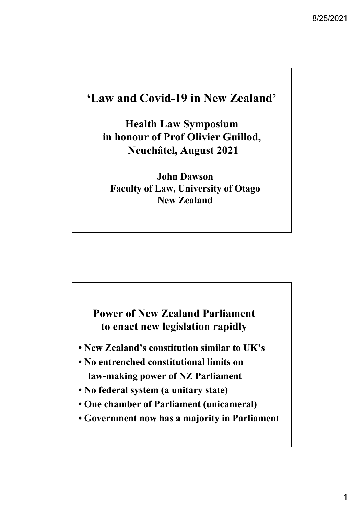## **'Law and Covid-19 in New Zealand'**

**Health Law Symposium in honour of Prof Olivier Guillod, Neuchâtel, August 2021**

**John Dawson Faculty of Law, University of Otago New Zealand**

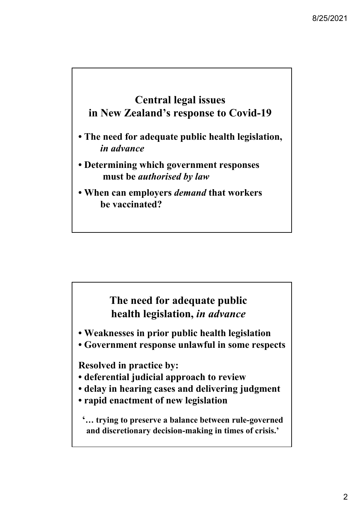## **Central legal issues in New Zealand's response to Covid-19**

- **The need for adequate public health legislation,** *in advance*
- **Determining which government responses must be** *authorised by law*
- **When can employers** *demand* **that workers be vaccinated?**

## **The need for adequate public health legislation,** *in advance*

- **Weaknesses in prior public health legislation**
- **Government response unlawful in some respects**

**Resolved in practice by:**

- **deferential judicial approach to review**
- **delay in hearing cases and delivering judgment**
- **rapid enactment of new legislation**

**'… trying to preserve a balance between rule-governed and discretionary decision-making in times of crisis.'**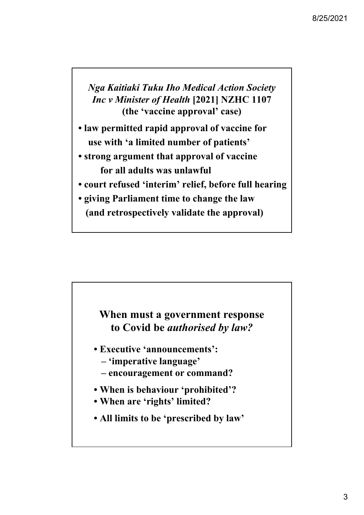*Nga Kaitiaki Tuku Iho Medical Action Society Inc v Minister of Health* **[2021] NZHC 1107 (the 'vaccine approval' case)** 

- **law permitted rapid approval of vaccine for use with 'a limited number of patients'**
- **strong argument that approval of vaccine for all adults was unlawful**
- **court refused 'interim' relief, before full hearing**
- **giving Parliament time to change the law (and retrospectively validate the approval)**